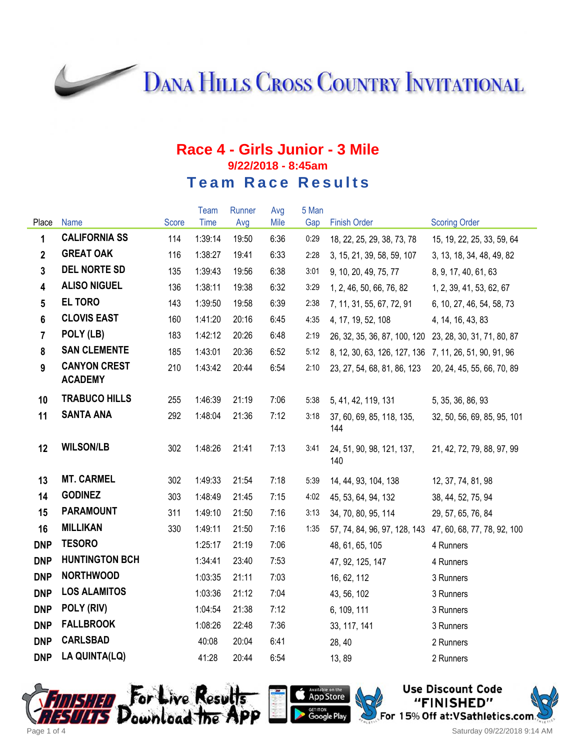**DANA HILLS CROSS COUNTRY INVITATIONAL** 

## **Race 4 - Girls Junior - 3 Mile 9/22/2018 - 8:45am Team Race Results**

|                         |                                       |              | Team    | Runner | Avg  | 5 Man |                                                          |                             |
|-------------------------|---------------------------------------|--------------|---------|--------|------|-------|----------------------------------------------------------|-----------------------------|
| Place                   | <b>Name</b>                           | <b>Score</b> | Time    | Avg    | Mile | Gap   | <b>Finish Order</b>                                      | <b>Scoring Order</b>        |
| 1                       | <b>CALIFORNIA SS</b>                  | 114          | 1:39:14 | 19:50  | 6:36 | 0:29  | 18, 22, 25, 29, 38, 73, 78                               | 15, 19, 22, 25, 33, 59, 64  |
| $\overline{2}$          | <b>GREAT OAK</b>                      | 116          | 1:38:27 | 19:41  | 6:33 | 2:28  | 3, 15, 21, 39, 58, 59, 107                               | 3, 13, 18, 34, 48, 49, 82   |
| $\mathbf{3}$            | <b>DEL NORTE SD</b>                   | 135          | 1:39:43 | 19:56  | 6:38 | 3:01  | 9, 10, 20, 49, 75, 77                                    | 8, 9, 17, 40, 61, 63        |
| $\overline{\mathbf{4}}$ | <b>ALISO NIGUEL</b>                   | 136          | 1:38:11 | 19:38  | 6:32 | 3:29  | 1, 2, 46, 50, 66, 76, 82                                 | 1, 2, 39, 41, 53, 62, 67    |
| $5\phantom{.0}$         | <b>EL TORO</b>                        | 143          | 1:39:50 | 19:58  | 6:39 | 2:38  | 7, 11, 31, 55, 67, 72, 91                                | 6, 10, 27, 46, 54, 58, 73   |
| $6\phantom{a}$          | <b>CLOVIS EAST</b>                    | 160          | 1:41:20 | 20:16  | 6:45 | 4:35  | 4, 17, 19, 52, 108                                       | 4, 14, 16, 43, 83           |
| $\overline{7}$          | POLY (LB)                             | 183          | 1:42:12 | 20:26  | 6:48 | 2:19  | 26, 32, 35, 36, 87, 100, 120                             | 23, 28, 30, 31, 71, 80, 87  |
| 8                       | <b>SAN CLEMENTE</b>                   | 185          | 1:43:01 | 20:36  | 6:52 | 5:12  | 8, 12, 30, 63, 126, 127, 136 7, 11, 26, 51, 90, 91, 96   |                             |
| 9                       | <b>CANYON CREST</b><br><b>ACADEMY</b> | 210          | 1:43:42 | 20:44  | 6:54 | 2:10  | 23, 27, 54, 68, 81, 86, 123                              | 20, 24, 45, 55, 66, 70, 89  |
| 10                      | <b>TRABUCO HILLS</b>                  | 255          | 1:46:39 | 21:19  | 7:06 | 5:38  | 5, 41, 42, 119, 131                                      | 5, 35, 36, 86, 93           |
| 11                      | <b>SANTA ANA</b>                      | 292          | 1:48:04 | 21:36  | 7:12 | 3:18  | 37, 60, 69, 85, 118, 135,<br>144                         | 32, 50, 56, 69, 85, 95, 101 |
| 12                      | <b>WILSON/LB</b>                      | 302          | 1:48:26 | 21:41  | 7:13 | 3:41  | 24, 51, 90, 98, 121, 137,<br>140                         | 21, 42, 72, 79, 88, 97, 99  |
| 13                      | <b>MT. CARMEL</b>                     | 302          | 1:49:33 | 21:54  | 7:18 | 5:39  | 14, 44, 93, 104, 138                                     | 12, 37, 74, 81, 98          |
| 14                      | <b>GODINEZ</b>                        | 303          | 1:48:49 | 21:45  | 7:15 | 4:02  | 45, 53, 64, 94, 132                                      | 38, 44, 52, 75, 94          |
| 15                      | <b>PARAMOUNT</b>                      | 311          | 1:49:10 | 21:50  | 7:16 | 3:13  | 34, 70, 80, 95, 114                                      | 29, 57, 65, 76, 84          |
| 16                      | <b>MILLIKAN</b>                       | 330          | 1:49:11 | 21:50  | 7:16 | 1:35  | 57, 74, 84, 96, 97, 128, 143 47, 60, 68, 77, 78, 92, 100 |                             |
| <b>DNP</b>              | <b>TESORO</b>                         |              | 1:25:17 | 21:19  | 7:06 |       | 48, 61, 65, 105                                          | 4 Runners                   |
| <b>DNP</b>              | <b>HUNTINGTON BCH</b>                 |              | 1:34:41 | 23:40  | 7:53 |       | 47, 92, 125, 147                                         | 4 Runners                   |
| <b>DNP</b>              | <b>NORTHWOOD</b>                      |              | 1:03:35 | 21:11  | 7:03 |       | 16, 62, 112                                              | 3 Runners                   |
| <b>DNP</b>              | <b>LOS ALAMITOS</b>                   |              | 1:03:36 | 21:12  | 7:04 |       | 43, 56, 102                                              | 3 Runners                   |
| <b>DNP</b>              | POLY (RIV)                            |              | 1:04:54 | 21:38  | 7:12 |       | 6, 109, 111                                              | 3 Runners                   |
| <b>DNP</b>              | <b>FALLBROOK</b>                      |              | 1:08:26 | 22:48  | 7:36 |       | 33, 117, 141                                             | 3 Runners                   |
| <b>DNP</b>              | <b>CARLSBAD</b>                       |              | 40:08   | 20:04  | 6:41 |       | 28, 40                                                   | 2 Runners                   |
| <b>DNP</b>              | LA QUINTA(LQ)                         |              | 41:28   | 20:44  | 6:54 |       | 13,89                                                    | 2 Runners                   |



App Store <sub>दहा ग</sub>ाल<br>Google Play

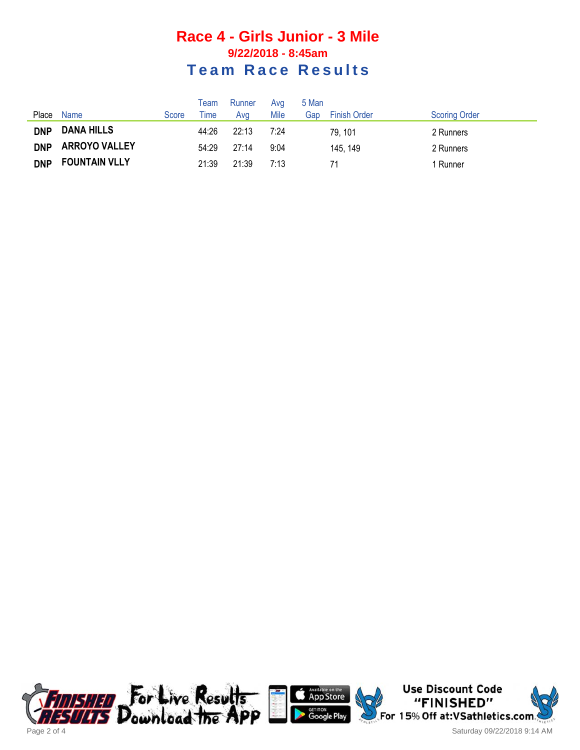## **Race 4 - Girls Junior - 3 Mile 9/22/2018 - 8:45am Team Race Results**

|            |                      |       | Team  | Runner | Avg  | 5 Man |                     |                      |
|------------|----------------------|-------|-------|--------|------|-------|---------------------|----------------------|
| Place      | Name                 | Score | Time  | Ava    | Mile | Gap   | <b>Finish Order</b> | <b>Scoring Order</b> |
| <b>DNP</b> | <b>DANA HILLS</b>    |       | 44:26 | 22:13  | 7:24 |       | 79, 101             | 2 Runners            |
| <b>DNP</b> | <b>ARROYO VALLEY</b> |       | 54:29 | 27:14  | 9:04 |       | 145, 149            | 2 Runners            |
| <b>DNP</b> | <b>FOUNTAIN VLLY</b> |       | 21:39 | 21:39  | 7:13 |       |                     | 1 Runner             |





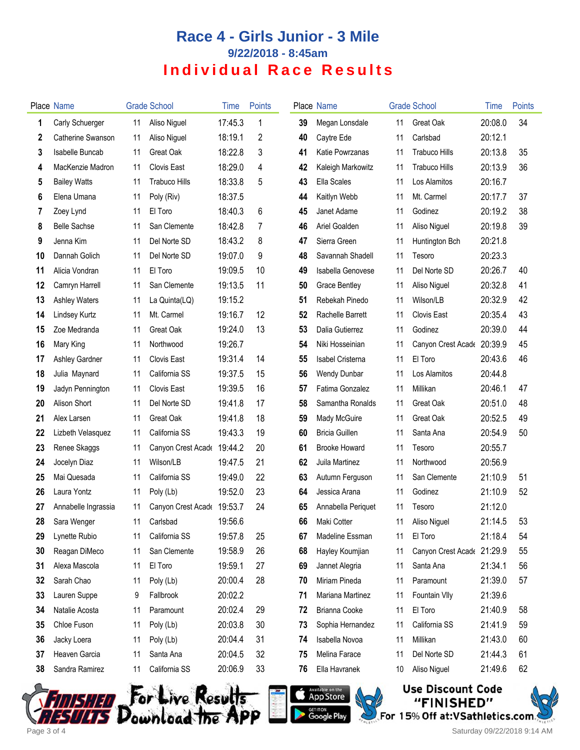## **Race 4 - Girls Junior - 3 Mile 9/22/2018 - 8:45am Individual Race Results**

|     | <b>Place Name</b>    |    | <b>Grade School</b>        | Time    | <b>Points</b> |    | Place Name            |    | <b>Grade School</b>        | Time    | <b>Points</b> |
|-----|----------------------|----|----------------------------|---------|---------------|----|-----------------------|----|----------------------------|---------|---------------|
| 1   | Carly Schuerger      | 11 | Aliso Niguel               | 17:45.3 | $\mathbf{1}$  | 39 | Megan Lonsdale        | 11 | Great Oak                  | 20:08.0 | 34            |
| 2   | Catherine Swanson    | 11 | Aliso Niguel               | 18:19.1 | 2             | 40 | Caytre Ede            | 11 | Carlsbad                   | 20:12.1 |               |
| 3   | Isabelle Buncab      | 11 | Great Oak                  | 18:22.8 | 3             | 41 | Katie Powrzanas       | 11 | <b>Trabuco Hills</b>       | 20:13.8 | 35            |
| 4   | MacKenzie Madron     | 11 | Clovis East                | 18:29.0 | 4             | 42 | Kaleigh Markowitz     | 11 | <b>Trabuco Hills</b>       | 20:13.9 | 36            |
| 5   | <b>Bailey Watts</b>  | 11 | <b>Trabuco Hills</b>       | 18:33.8 | 5             | 43 | Ella Scales           | 11 | Los Alamitos               | 20:16.7 |               |
| 6   | Elena Umana          | 11 | Poly (Riv)                 | 18:37.5 |               | 44 | Kaitlyn Webb          | 11 | Mt. Carmel                 | 20:17.7 | 37            |
| 7   | Zoey Lynd            | 11 | El Toro                    | 18:40.3 | 6             | 45 | Janet Adame           | 11 | Godinez                    | 20:19.2 | 38            |
| 8   | <b>Belle Sachse</b>  | 11 | San Clemente               | 18:42.8 | 7             | 46 | Ariel Goalden         | 11 | Aliso Niguel               | 20:19.8 | 39            |
| 9   | Jenna Kim            | 11 | Del Norte SD               | 18:43.2 | 8             | 47 | Sierra Green          | 11 | Huntington Bch             | 20:21.8 |               |
| 10  | Dannah Golich        | 11 | Del Norte SD               | 19:07.0 | 9             | 48 | Savannah Shadell      | 11 | Tesoro                     | 20:23.3 |               |
| 11  | Alicia Vondran       | 11 | El Toro                    | 19:09.5 | 10            | 49 | Isabella Genovese     | 11 | Del Norte SD               | 20:26.7 | 40            |
| 12  | Camryn Harrell       | 11 | San Clemente               | 19:13.5 | 11            | 50 | <b>Grace Bentley</b>  | 11 | Aliso Niguel               | 20:32.8 | 41            |
| 13  | <b>Ashley Waters</b> | 11 | La Quinta(LQ)              | 19:15.2 |               | 51 | Rebekah Pinedo        | 11 | Wilson/LB                  | 20:32.9 | 42            |
| 14  | Lindsey Kurtz        | 11 | Mt. Carmel                 | 19:16.7 | 12            | 52 | Rachelle Barrett      | 11 | Clovis East                | 20:35.4 | 43            |
| 15  | Zoe Medranda         | 11 | Great Oak                  | 19:24.0 | 13            | 53 | Dalia Gutierrez       | 11 | Godinez                    | 20:39.0 | 44            |
| 16  | Mary King            | 11 | Northwood                  | 19:26.7 |               | 54 | Niki Hosseinian       | 11 | Canyon Crest Acade 20:39.9 |         | 45            |
| 17  | Ashley Gardner       | 11 | Clovis East                | 19:31.4 | 14            | 55 | Isabel Cristerna      | 11 | El Toro                    | 20:43.6 | 46            |
| 18  | Julia Maynard        | 11 | California SS              | 19:37.5 | 15            | 56 | Wendy Dunbar          | 11 | Los Alamitos               | 20:44.8 |               |
| 19  | Jadyn Pennington     | 11 | Clovis East                | 19:39.5 | 16            | 57 | Fatima Gonzalez       | 11 | Millikan                   | 20:46.1 | 47            |
| 20  | Alison Short         | 11 | Del Norte SD               | 19:41.8 | 17            | 58 | Samantha Ronalds      | 11 | Great Oak                  | 20:51.0 | 48            |
| 21  | Alex Larsen          | 11 | Great Oak                  | 19:41.8 | 18            | 59 | Mady McGuire          | 11 | Great Oak                  | 20:52.5 | 49            |
| 22  | Lizbeth Velasquez    | 11 | California SS              | 19:43.3 | 19            | 60 | <b>Bricia Guillen</b> | 11 | Santa Ana                  | 20:54.9 | 50            |
| 23  | Renee Skaggs         | 11 | Canyon Crest Acade         | 19:44.2 | 20            | 61 | <b>Brooke Howard</b>  | 11 | Tesoro                     | 20:55.7 |               |
| 24  | Jocelyn Diaz         | 11 | Wilson/LB                  | 19:47.5 | 21            | 62 | Juila Martinez        | 11 | Northwood                  | 20:56.9 |               |
| 25  | Mai Quesada          | 11 | California SS              | 19:49.0 | 22            | 63 | Autumn Ferguson       | 11 | San Clemente               | 21:10.9 | 51            |
| 26  | Laura Yontz          | 11 | Poly (Lb)                  | 19:52.0 | 23            | 64 | Jessica Arana         | 11 | Godinez                    | 21:10.9 | 52            |
| 27  | Annabelle Ingrassia  | 11 | Canyon Crest Acade 19:53.7 |         | 24            | 65 | Annabella Periquet    | 11 | Tesoro                     | 21:12.0 |               |
| 28. | Sara Wenger          | 11 | Carlsbad                   | 19:56.6 |               | 66 | Maki Cotter           | 11 | Aliso Niguel               | 21:14.5 | 53            |
| 29  | Lynette Rubio        | 11 | California SS              | 19:57.8 | 25            | 67 | Madeline Essman       | 11 | El Toro                    | 21:18.4 | 54            |
| 30  | Reagan DiMeco        | 11 | San Clemente               | 19:58.9 | 26            | 68 | Hayley Koumjian       | 11 | Canyon Crest Acade 21:29.9 |         | 55            |
| 31  | Alexa Mascola        | 11 | El Toro                    | 19:59.1 | 27            | 69 | Jannet Alegria        | 11 | Santa Ana                  | 21:34.1 | 56            |
| 32  | Sarah Chao           | 11 | Poly (Lb)                  | 20:00.4 | 28            | 70 | Miriam Pineda         | 11 | Paramount                  | 21:39.0 | 57            |
| 33  | Lauren Suppe         | 9  | Fallbrook                  | 20:02.2 |               | 71 | Mariana Martinez      | 11 | Fountain VIIy              | 21:39.6 |               |
| 34  | Natalie Acosta       | 11 | Paramount                  | 20:02.4 | 29            | 72 | <b>Brianna Cooke</b>  | 11 | El Toro                    | 21:40.9 | 58            |
| 35  | Chloe Fuson          | 11 | Poly (Lb)                  | 20:03.8 | 30            | 73 | Sophia Hernandez      | 11 | California SS              | 21:41.9 | 59            |
| 36  | Jacky Loera          | 11 | Poly (Lb)                  | 20:04.4 | 31            | 74 | Isabella Novoa        | 11 | Millikan                   | 21:43.0 | 60            |
| 37  | Heaven Garcia        | 11 | Santa Ana                  | 20:04.5 | 32            | 75 | Melina Farace         | 11 | Del Norte SD               | 21:44.3 | 61            |
| 38  | Sandra Ramirez       | 11 | California SS              | 20:06.9 | 33            | 76 | Ella Havranek         | 10 | Aliso Niguel               | 21:49.6 | 62            |